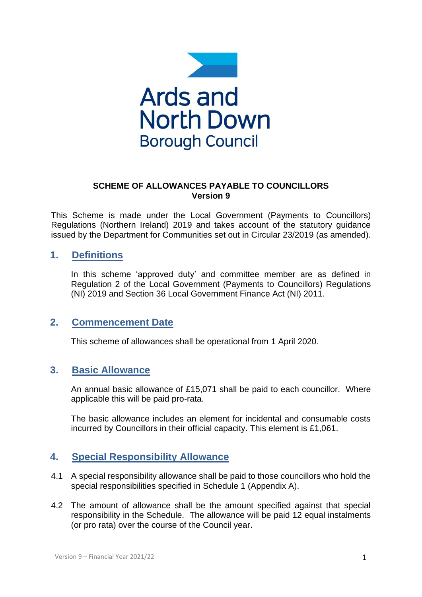

### **SCHEME OF ALLOWANCES PAYABLE TO COUNCILLORS Version 9**

This Scheme is made under the Local Government (Payments to Councillors) Regulations (Northern Ireland) 2019 and takes account of the statutory guidance issued by the Department for Communities set out in Circular 23/2019 (as amended).

## **1. Definitions**

In this scheme 'approved duty' and committee member are as defined in Regulation 2 of the Local Government (Payments to Councillors) Regulations (NI) 2019 and Section 36 Local Government Finance Act (NI) 2011.

## **2. Commencement Date**

This scheme of allowances shall be operational from 1 April 2020.

## **3. Basic Allowance**

An annual basic allowance of £15,071 shall be paid to each councillor. Where applicable this will be paid pro-rata.

The basic allowance includes an element for incidental and consumable costs incurred by Councillors in their official capacity. This element is £1,061.

## **4. Special Responsibility Allowance**

- 4.1 A special responsibility allowance shall be paid to those councillors who hold the special responsibilities specified in Schedule 1 (Appendix A).
- 4.2 The amount of allowance shall be the amount specified against that special responsibility in the Schedule. The allowance will be paid 12 equal instalments (or pro rata) over the course of the Council year.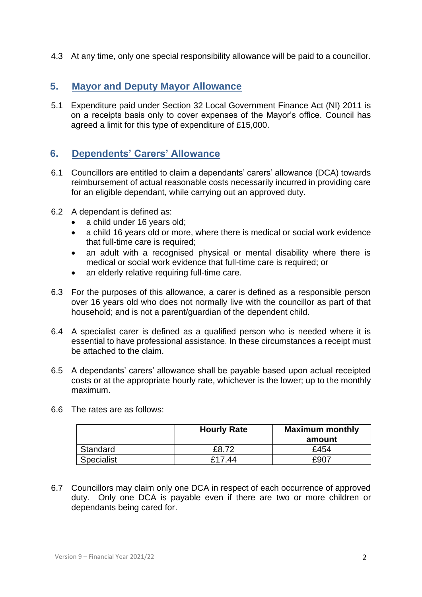4.3 At any time, only one special responsibility allowance will be paid to a councillor.

## **5. Mayor and Deputy Mayor Allowance**

5.1 Expenditure paid under Section 32 Local Government Finance Act (NI) 2011 is on a receipts basis only to cover expenses of the Mayor's office. Council has agreed a limit for this type of expenditure of £15,000.

## **6. Dependents' Carers' Allowance**

- 6.1 Councillors are entitled to claim a dependants' carers' allowance (DCA) towards reimbursement of actual reasonable costs necessarily incurred in providing care for an eligible dependant, while carrying out an approved duty.
- 6.2 A dependant is defined as:
	- a child under 16 years old;
	- a child 16 years old or more, where there is medical or social work evidence that full-time care is required;
	- an adult with a recognised physical or mental disability where there is medical or social work evidence that full-time care is required; or
	- an elderly relative requiring full-time care.
- 6.3 For the purposes of this allowance, a carer is defined as a responsible person over 16 years old who does not normally live with the councillor as part of that household; and is not a parent/guardian of the dependent child.
- 6.4 A specialist carer is defined as a qualified person who is needed where it is essential to have professional assistance. In these circumstances a receipt must be attached to the claim.
- 6.5 A dependants' carers' allowance shall be payable based upon actual receipted costs or at the appropriate hourly rate, whichever is the lower; up to the monthly maximum.

|            | <b>Hourly Rate</b> | <b>Maximum monthly</b><br>amount |
|------------|--------------------|----------------------------------|
| Standard   | £8.72              | £454                             |
| Specialist | £17.44             | £907                             |

6.6 The rates are as follows:

6.7 Councillors may claim only one DCA in respect of each occurrence of approved duty. Only one DCA is payable even if there are two or more children or dependants being cared for.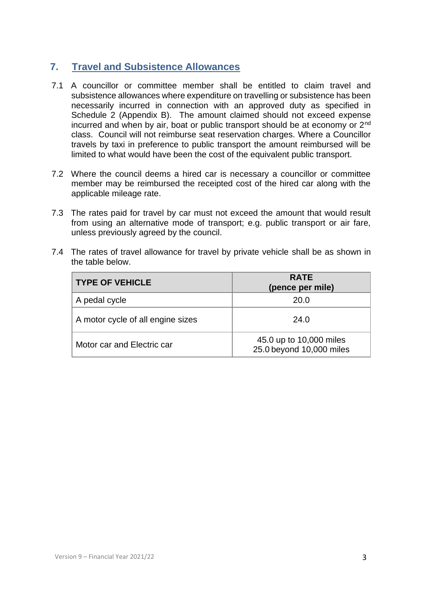## **7. Travel and Subsistence Allowances**

- 7.1 A councillor or committee member shall be entitled to claim travel and subsistence allowances where expenditure on travelling or subsistence has been necessarily incurred in connection with an approved duty as specified in Schedule 2 (Appendix B). The amount claimed should not exceed expense incurred and when by air, boat or public transport should be at economy or 2<sup>nd</sup> class. Council will not reimburse seat reservation charges. Where a Councillor travels by taxi in preference to public transport the amount reimbursed will be limited to what would have been the cost of the equivalent public transport.
- 7.2 Where the council deems a hired car is necessary a councillor or committee member may be reimbursed the receipted cost of the hired car along with the applicable mileage rate.
- 7.3 The rates paid for travel by car must not exceed the amount that would result from using an alternative mode of transport; e.g. public transport or air fare, unless previously agreed by the council.
- 7.4 The rates of travel allowance for travel by private vehicle shall be as shown in the table below.

| <b>TYPE OF VEHICLE</b>            | <b>RATE</b><br>(pence per mile)                     |
|-----------------------------------|-----------------------------------------------------|
| A pedal cycle                     | 20.0                                                |
| A motor cycle of all engine sizes | 24.0                                                |
| Motor car and Electric car        | 45.0 up to 10,000 miles<br>25.0 beyond 10,000 miles |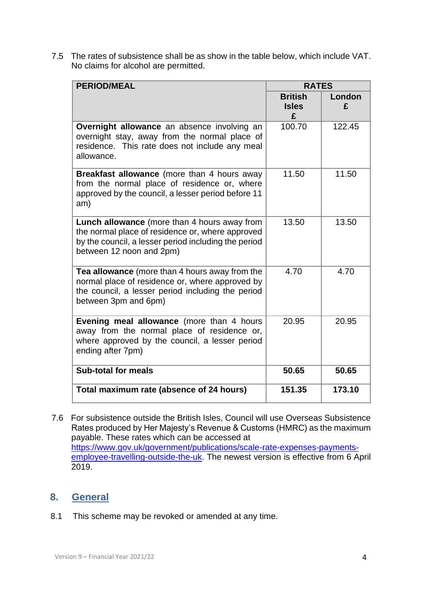7.5 The rates of subsistence shall be as show in the table below, which include VAT. No claims for alcohol are permitted.

| <b>PERIOD/MEAL</b>                                                                                                                                                                          | <b>RATES</b>                        |             |
|---------------------------------------------------------------------------------------------------------------------------------------------------------------------------------------------|-------------------------------------|-------------|
|                                                                                                                                                                                             | <b>British</b><br><b>Isles</b><br>£ | London<br>£ |
| <b>Overnight allowance</b> an absence involving an<br>overnight stay, away from the normal place of<br>residence. This rate does not include any meal<br>allowance.                         | 100.70                              | 122.45      |
| Breakfast allowance (more than 4 hours away<br>from the normal place of residence or, where<br>approved by the council, a lesser period before 11<br>am)                                    | 11.50                               | 11.50       |
| <b>Lunch allowance</b> (more than 4 hours away from<br>the normal place of residence or, where approved<br>by the council, a lesser period including the period<br>between 12 noon and 2pm) | 13.50                               | 13.50       |
| Tea allowance (more than 4 hours away from the<br>normal place of residence or, where approved by<br>the council, a lesser period including the period<br>between 3pm and 6pm)              | 4.70                                | 4.70        |
| Evening meal allowance (more than 4 hours<br>away from the normal place of residence or,<br>where approved by the council, a lesser period<br>ending after 7pm)                             | 20.95                               | 20.95       |
| <b>Sub-total for meals</b>                                                                                                                                                                  | 50.65                               | 50.65       |
| Total maximum rate (absence of 24 hours)                                                                                                                                                    | 151.35                              | 173.10      |

7.6 For subsistence outside the British Isles, Council will use Overseas Subsistence Rates produced by Her Majesty's Revenue & Customs (HMRC) as the maximum payable. These rates which can be accessed at [https://www.gov.uk/government/publications/scale-rate-expenses-payments](https://www.gov.uk/government/publications/scale-rate-expenses-payments-employee-travelling-outside-the-uk)[employee-travelling-outside-the-uk.](https://www.gov.uk/government/publications/scale-rate-expenses-payments-employee-travelling-outside-the-uk) The newest version is effective from 6 April 2019.

## **8. General**

8.1 This scheme may be revoked or amended at any time.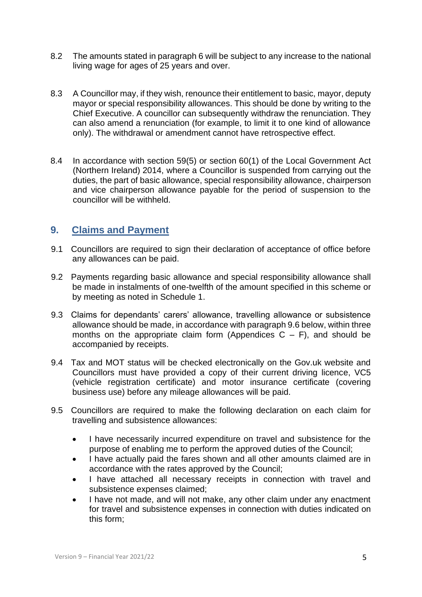- 8.2 The amounts stated in paragraph 6 will be subject to any increase to the national living wage for ages of 25 years and over.
- 8.3 A Councillor may, if they wish, renounce their entitlement to basic, mayor, deputy mayor or special responsibility allowances. This should be done by writing to the Chief Executive. A councillor can subsequently withdraw the renunciation. They can also amend a renunciation (for example, to limit it to one kind of allowance only). The withdrawal or amendment cannot have retrospective effect.
- 8.4 In accordance with section 59(5) or section 60(1) of the Local Government Act (Northern Ireland) 2014, where a Councillor is suspended from carrying out the duties, the part of basic allowance, special responsibility allowance, chairperson and vice chairperson allowance payable for the period of suspension to the councillor will be withheld.

## **9. Claims and Payment**

- 9.1 Councillors are required to sign their declaration of acceptance of office before any allowances can be paid.
- 9.2 Payments regarding basic allowance and special responsibility allowance shall be made in instalments of one-twelfth of the amount specified in this scheme or by meeting as noted in Schedule 1.
- 9.3 Claims for dependants' carers' allowance, travelling allowance or subsistence allowance should be made, in accordance with paragraph 9.6 below, within three months on the appropriate claim form (Appendices  $C - F$ ), and should be accompanied by receipts.
- 9.4 Tax and MOT status will be checked electronically on the Gov.uk website and Councillors must have provided a copy of their current driving licence, VC5 (vehicle registration certificate) and motor insurance certificate (covering business use) before any mileage allowances will be paid.
- 9.5 Councillors are required to make the following declaration on each claim for travelling and subsistence allowances:
	- I have necessarily incurred expenditure on travel and subsistence for the purpose of enabling me to perform the approved duties of the Council;
	- I have actually paid the fares shown and all other amounts claimed are in accordance with the rates approved by the Council;
	- I have attached all necessary receipts in connection with travel and subsistence expenses claimed;
	- I have not made, and will not make, any other claim under any enactment for travel and subsistence expenses in connection with duties indicated on this form;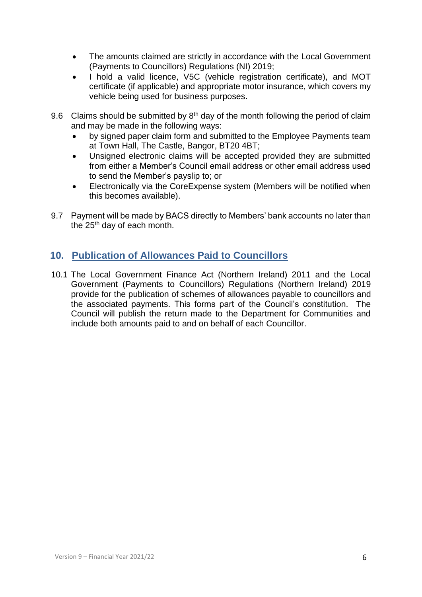- The amounts claimed are strictly in accordance with the Local Government (Payments to Councillors) Regulations (NI) 2019;
- I hold a valid licence, V5C (vehicle registration certificate), and MOT certificate (if applicable) and appropriate motor insurance, which covers my vehicle being used for business purposes.
- 9.6 Claims should be submitted by  $8<sup>th</sup>$  day of the month following the period of claim and may be made in the following ways:
	- by signed paper claim form and submitted to the Employee Payments team at Town Hall, The Castle, Bangor, BT20 4BT;
	- Unsigned electronic claims will be accepted provided they are submitted from either a Member's Council email address or other email address used to send the Member's payslip to; or
	- Electronically via the CoreExpense system (Members will be notified when this becomes available).
- 9.7 Payment will be made by BACS directly to Members' bank accounts no later than the 25<sup>th</sup> day of each month.

## **10. Publication of Allowances Paid to Councillors**

10.1 The Local Government Finance Act (Northern Ireland) 2011 and the Local Government (Payments to Councillors) Regulations (Northern Ireland) 2019 provide for the publication of schemes of allowances payable to councillors and the associated payments. This forms part of the Council's constitution. The Council will publish the return made to the Department for Communities and include both amounts paid to and on behalf of each Councillor.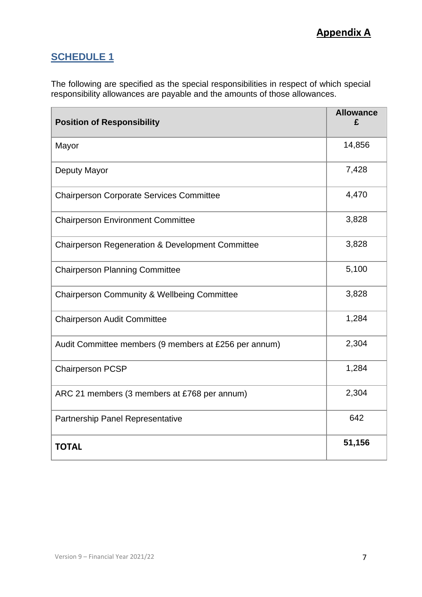## **SCHEDULE 1**

The following are specified as the special responsibilities in respect of which special responsibility allowances are payable and the amounts of those allowances.

| <b>Position of Responsibility</b>                      | <b>Allowance</b> |
|--------------------------------------------------------|------------------|
| Mayor                                                  | 14,856           |
| Deputy Mayor                                           | 7,428            |
| <b>Chairperson Corporate Services Committee</b>        | 4,470            |
| <b>Chairperson Environment Committee</b>               | 3,828            |
| Chairperson Regeneration & Development Committee       | 3,828            |
| <b>Chairperson Planning Committee</b>                  | 5,100            |
| <b>Chairperson Community &amp; Wellbeing Committee</b> | 3,828            |
| <b>Chairperson Audit Committee</b>                     | 1,284            |
| Audit Committee members (9 members at £256 per annum)  | 2,304            |
| <b>Chairperson PCSP</b>                                | 1,284            |
| ARC 21 members (3 members at £768 per annum)           | 2,304            |
| Partnership Panel Representative                       | 642              |
| <b>TOTAL</b>                                           | 51,156           |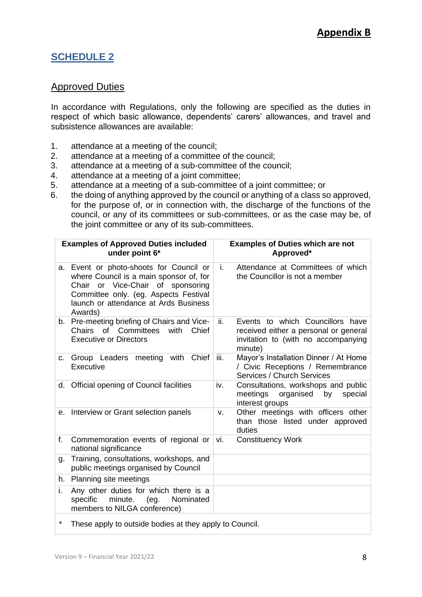## **SCHEDULE 2**

## Approved Duties

In accordance with Regulations, only the following are specified as the duties in respect of which basic allowance, dependents' carers' allowances, and travel and subsistence allowances are available:

- 1. attendance at a meeting of the council;
- 2. attendance at a meeting of a committee of the council;
- 3. attendance at a meeting of a sub-committee of the council;
- 4. attendance at a meeting of a joint committee;
- 5. attendance at a meeting of a sub-committee of a joint committee; or
- 6. the doing of anything approved by the council or anything of a class so approved, for the purpose of, or in connection with, the discharge of the functions of the council, or any of its committees or sub-committees, or as the case may be, of the joint committee or any of its sub-committees.

|         | <b>Examples of Approved Duties included</b><br>under point 6*                                                                                                                                                              |      | <b>Examples of Duties which are not</b><br>Approved*                                                                        |
|---------|----------------------------------------------------------------------------------------------------------------------------------------------------------------------------------------------------------------------------|------|-----------------------------------------------------------------------------------------------------------------------------|
|         | a. Event or photo-shoots for Council or<br>where Council is a main sponsor of, for<br>Chair or Vice-Chair<br>of<br>sponsoring<br>Committee only. (eg. Aspects Festival<br>launch or attendance at Ards Business<br>Awards) | i.   | Attendance at Committees of which<br>the Councillor is not a member                                                         |
|         | b. Pre-meeting briefing of Chairs and Vice-<br>Chairs of Committees<br>Chief<br>with<br><b>Executive or Directors</b>                                                                                                      | ii.  | Events to which Councillors have<br>received either a personal or general<br>invitation to (with no accompanying<br>minute) |
| C.      | Chief<br>Group Leaders meeting with<br>Executive                                                                                                                                                                           | iii. | Mayor's Installation Dinner / At Home<br>/ Civic Receptions / Remembrance<br>Services / Church Services                     |
| d.      | Official opening of Council facilities                                                                                                                                                                                     | iv.  | Consultations, workshops and public<br>meetings<br>organised<br>special<br>by<br>interest groups                            |
|         | e. Interview or Grant selection panels                                                                                                                                                                                     | v.   | Other meetings with officers other<br>than those listed under approved<br>duties                                            |
| f.      | Commemoration events of regional or<br>national significance                                                                                                                                                               | vi.  | <b>Constituency Work</b>                                                                                                    |
| g.      | Training, consultations, workshops, and<br>public meetings organised by Council                                                                                                                                            |      |                                                                                                                             |
|         | h. Planning site meetings                                                                                                                                                                                                  |      |                                                                                                                             |
| i.      | Any other duties for which there is a<br>minute.<br>specific<br>(eg.<br>Nominated<br>members to NILGA conference)                                                                                                          |      |                                                                                                                             |
| $\star$ | These apply to outside bodies at they apply to Council.                                                                                                                                                                    |      |                                                                                                                             |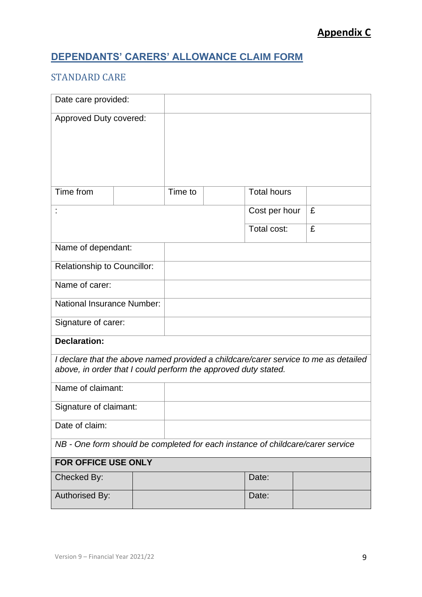# **DEPENDANTS' CARERS' ALLOWANCE CLAIM FORM**

## STANDARD CARE

| Date care provided:                                                            |         |                    |                                                                                     |
|--------------------------------------------------------------------------------|---------|--------------------|-------------------------------------------------------------------------------------|
| Approved Duty covered:                                                         |         |                    |                                                                                     |
|                                                                                |         |                    |                                                                                     |
|                                                                                |         |                    |                                                                                     |
|                                                                                |         |                    |                                                                                     |
| Time from                                                                      | Time to | <b>Total hours</b> |                                                                                     |
|                                                                                |         | Cost per hour      | £                                                                                   |
|                                                                                |         | Total cost:        | £                                                                                   |
| Name of dependant:                                                             |         |                    |                                                                                     |
| <b>Relationship to Councillor:</b>                                             |         |                    |                                                                                     |
| Name of carer:                                                                 |         |                    |                                                                                     |
| <b>National Insurance Number:</b>                                              |         |                    |                                                                                     |
| Signature of carer:                                                            |         |                    |                                                                                     |
| <b>Declaration:</b>                                                            |         |                    |                                                                                     |
| above, in order that I could perform the approved duty stated.                 |         |                    | I declare that the above named provided a childcare/carer service to me as detailed |
| Name of claimant:                                                              |         |                    |                                                                                     |
| Signature of claimant:                                                         |         |                    |                                                                                     |
| Date of claim:                                                                 |         |                    |                                                                                     |
| NB - One form should be completed for each instance of childcare/carer service |         |                    |                                                                                     |
| <b>FOR OFFICE USE ONLY</b>                                                     |         |                    |                                                                                     |
| Checked By:                                                                    |         | Date:              |                                                                                     |
| Authorised By:                                                                 |         | Date:              |                                                                                     |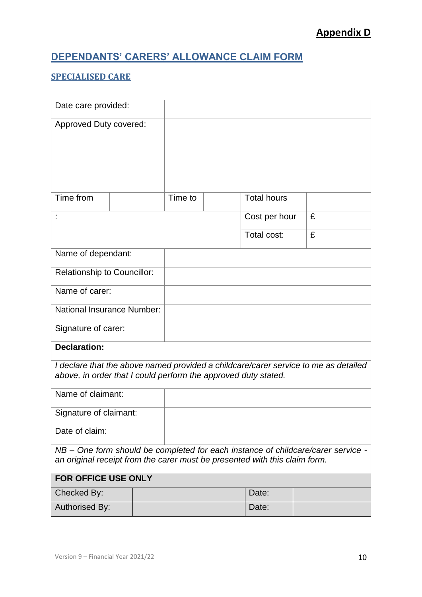# **DEPENDANTS' CARERS' ALLOWANCE CLAIM FORM**

## **SPECIALISED CARE**

| Date care provided:                                                                                                                                   |  |         |                    |   |  |
|-------------------------------------------------------------------------------------------------------------------------------------------------------|--|---------|--------------------|---|--|
| Approved Duty covered:                                                                                                                                |  |         |                    |   |  |
|                                                                                                                                                       |  |         |                    |   |  |
|                                                                                                                                                       |  |         |                    |   |  |
|                                                                                                                                                       |  |         |                    |   |  |
| Time from                                                                                                                                             |  | Time to | <b>Total hours</b> |   |  |
|                                                                                                                                                       |  |         | Cost per hour      | £ |  |
|                                                                                                                                                       |  |         | Total cost:        | £ |  |
| Name of dependant:                                                                                                                                    |  |         |                    |   |  |
| <b>Relationship to Councillor:</b>                                                                                                                    |  |         |                    |   |  |
| Name of carer:                                                                                                                                        |  |         |                    |   |  |
| National Insurance Number:                                                                                                                            |  |         |                    |   |  |
| Signature of carer:                                                                                                                                   |  |         |                    |   |  |
| <b>Declaration:</b>                                                                                                                                   |  |         |                    |   |  |
|                                                                                                                                                       |  |         |                    |   |  |
| I declare that the above named provided a childcare/carer service to me as detailed<br>above, in order that I could perform the approved duty stated. |  |         |                    |   |  |
| Name of claimant:                                                                                                                                     |  |         |                    |   |  |
| Signature of claimant:                                                                                                                                |  |         |                    |   |  |
| Date of claim:                                                                                                                                        |  |         |                    |   |  |
| NB – One form should be completed for each instance of childcare/carer service -                                                                      |  |         |                    |   |  |
| an original receipt from the carer must be presented with this claim form.                                                                            |  |         |                    |   |  |
| FOR OFFICE USE ONLY                                                                                                                                   |  |         |                    |   |  |
| Checked By:                                                                                                                                           |  |         | Date:              |   |  |
| <b>Authorised By:</b>                                                                                                                                 |  |         | Date:              |   |  |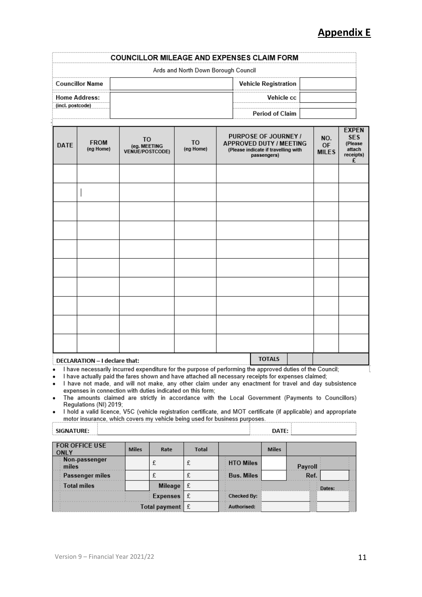|                        | <b>COUNCILLOR MILEAGE AND EXPENSES CLAIM FORM</b> |
|------------------------|---------------------------------------------------|
|                        | Ards and North Down Borough Council               |
| <b>Councillor Name</b> | <b>Vehicle Registration</b>                       |
| <b>Home Address:</b>   | Vehicle cc                                        |
| (incl. postcode)       | <b>Period of Claim</b>                            |

| <b>DATE</b> | <b>FROM</b><br>(eg Home)      | T <sub>O</sub><br>(eg. MEETING<br>VENUE/POSTCODE) | T <sub>O</sub><br>(eg Home) | PURPOSE OF JOURNEY /<br>APPROVED DUTY / MEETING<br>(Please indicate if travelling with<br>passengers)     | NO.<br><b>OF</b><br><b>MILES</b> | <b>EXPEN</b><br><b>SES</b><br>(Please<br>attach<br>receipts)<br>£ |
|-------------|-------------------------------|---------------------------------------------------|-----------------------------|-----------------------------------------------------------------------------------------------------------|----------------------------------|-------------------------------------------------------------------|
|             |                               |                                                   |                             |                                                                                                           |                                  |                                                                   |
|             |                               |                                                   |                             |                                                                                                           |                                  |                                                                   |
|             |                               |                                                   |                             |                                                                                                           |                                  |                                                                   |
|             |                               |                                                   |                             |                                                                                                           |                                  |                                                                   |
|             |                               |                                                   |                             |                                                                                                           |                                  |                                                                   |
|             |                               |                                                   |                             |                                                                                                           |                                  |                                                                   |
|             |                               |                                                   |                             |                                                                                                           |                                  |                                                                   |
|             |                               |                                                   |                             |                                                                                                           |                                  |                                                                   |
|             |                               |                                                   |                             |                                                                                                           |                                  |                                                                   |
|             |                               |                                                   |                             |                                                                                                           |                                  |                                                                   |
|             | DECLARATION - I declare that: |                                                   |                             | <b>TOTALS</b>                                                                                             |                                  |                                                                   |
|             |                               |                                                   |                             | I have necessarily incurred expenditure for the purpose of performing the approved duties of the Council; |                                  |                                                                   |

I have necessarily incurred expenditure for the purpose of performing the approved duties of the Council;  $\bullet$ 

I have actually paid the fares shown and have attached all necessary receipts for expenses claimed;  $\bullet$ 

I have not made, and will not make, any other claim under any enactment for travel and day subsistence  $\bullet$ expenses in connection with duties indicated on this form;<br>The amounts claimed are strictly in accordance with the Local Government (Payments to Councillors)

 $\bullet$ Regulations (NI) 2019;

I hold a valid licence, V5C (vehicle registration certificate, and MOT certificate (if applicable) and appropriate motor insurance, which covers my vehicle being used for business purposes.

| <b>SIGNATURE:</b>                    |              |                 |              |                   | DATE:        |         |
|--------------------------------------|--------------|-----------------|--------------|-------------------|--------------|---------|
| <b>FOR OFFICE USE</b><br><b>ONLY</b> | <b>Miles</b> | Rate            | <b>Total</b> |                   | <b>Miles</b> |         |
| Non-passenger<br>miles               |              | £               | £            | <b>HTO Miles</b>  |              | Payroll |
| Passenger miles                      |              |                 | £            | <b>Bus. Miles</b> |              | Ref.    |
| <b>Total miles</b>                   |              | Mileage         | £            |                   |              | Dates:  |
|                                      |              | <b>Expenses</b> | £            | Checked By:       |              |         |
|                                      |              | Total payment   | -£           | Authorised:       |              |         |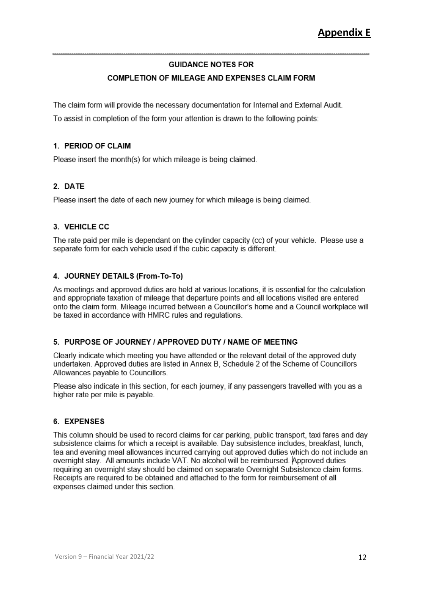### **GUIDANCE NOTES FOR**

### COMPLETION OF MILEAGE AND EXPENSES CLAIM FORM

The claim form will provide the necessary documentation for Internal and External Audit.

To assist in completion of the form your attention is drawn to the following points:

#### 1 PERIOD OF CLAIM

Please insert the month(s) for which mileage is being claimed.

### 2. DATE

Please insert the date of each new journey for which mileage is being claimed.

### 3. VEHICLE CC

The rate paid per mile is dependant on the cylinder capacity (cc) of your vehicle. Please use a separate form for each vehicle used if the cubic capacity is different.

### 4. JOURNEY DETAILS (From-To-To)

As meetings and approved duties are held at various locations, it is essential for the calculation and appropriate taxation of mileage that departure points and all locations visited are entered onto the claim form. Mileage incurred between a Councillor's home and a Council workplace will be taxed in accordance with HMRC rules and regulations.

#### 5. PURPOSE OF JOURNEY / APPROVED DUTY / NAME OF MEETING

Clearly indicate which meeting you have attended or the relevant detail of the approved duty undertaken. Approved duties are listed in Annex B. Schedule 2 of the Scheme of Councillors Allowances pavable to Councillors.

Please also indicate in this section, for each journey, if any passengers travelled with you as a higher rate per mile is payable.

### 6. EXPENSES

This column should be used to record claims for car parking, public transport, taxi fares and day subsistence claims for which a receipt is available. Day subsistence includes, breakfast, lunch, tea and evening meal allowances incurred carrying out approved duties which do not include an overnight stay. All amounts include VAT. No alcohol will be reimbursed. Approved duties requiring an overnight stay should be claimed on separate Overnight Subsistence claim forms. Receipts are required to be obtained and attached to the form for reimbursement of all expenses claimed under this section.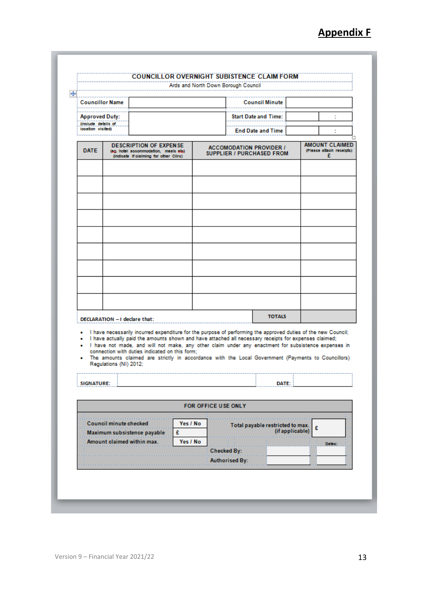|                                              |                               |                                                                                                                                                                                                                                                                                                                                                                                                                                                                                       | Ards and North Down Borough Council |                                             |                                                                    |   |                                                        |  |
|----------------------------------------------|-------------------------------|---------------------------------------------------------------------------------------------------------------------------------------------------------------------------------------------------------------------------------------------------------------------------------------------------------------------------------------------------------------------------------------------------------------------------------------------------------------------------------------|-------------------------------------|---------------------------------------------|--------------------------------------------------------------------|---|--------------------------------------------------------|--|
| <b>Councillor Name</b>                       |                               |                                                                                                                                                                                                                                                                                                                                                                                                                                                                                       |                                     |                                             | <b>Council Minute</b>                                              |   |                                                        |  |
| <b>Approved Duty:</b><br>(include details of |                               |                                                                                                                                                                                                                                                                                                                                                                                                                                                                                       |                                     |                                             | <b>Start Date and Time:</b>                                        |   | ÷                                                      |  |
| location visited)                            |                               |                                                                                                                                                                                                                                                                                                                                                                                                                                                                                       |                                     |                                             | <b>End Date and Time</b>                                           |   |                                                        |  |
| <b>DATE</b>                                  |                               | <b>DESCRIPTION OF EXPENSE</b><br>(eg. hotel accommodation, meals etc.)<br>(indicate if claiming for other Clirc)                                                                                                                                                                                                                                                                                                                                                                      |                                     |                                             | <b>ACCOMODATION PROVIDER /</b><br><b>SUPPLIER / PURCHASED FROM</b> |   | <b>AMOUNT CLAIMED</b><br>(Please attach receipts)<br>£ |  |
|                                              |                               |                                                                                                                                                                                                                                                                                                                                                                                                                                                                                       |                                     |                                             |                                                                    |   |                                                        |  |
|                                              |                               |                                                                                                                                                                                                                                                                                                                                                                                                                                                                                       |                                     |                                             |                                                                    |   |                                                        |  |
|                                              |                               |                                                                                                                                                                                                                                                                                                                                                                                                                                                                                       |                                     |                                             |                                                                    |   |                                                        |  |
|                                              |                               |                                                                                                                                                                                                                                                                                                                                                                                                                                                                                       |                                     |                                             |                                                                    |   |                                                        |  |
|                                              |                               |                                                                                                                                                                                                                                                                                                                                                                                                                                                                                       |                                     |                                             |                                                                    |   |                                                        |  |
|                                              |                               |                                                                                                                                                                                                                                                                                                                                                                                                                                                                                       |                                     |                                             |                                                                    |   |                                                        |  |
|                                              |                               |                                                                                                                                                                                                                                                                                                                                                                                                                                                                                       |                                     |                                             |                                                                    |   |                                                        |  |
|                                              |                               |                                                                                                                                                                                                                                                                                                                                                                                                                                                                                       |                                     |                                             |                                                                    |   |                                                        |  |
|                                              |                               | DECLARATION - I declare that:                                                                                                                                                                                                                                                                                                                                                                                                                                                         |                                     |                                             | <b>TOTALS</b>                                                      |   |                                                        |  |
| ۰<br>٠<br>۰<br><b>SIGNATURE:</b>             | Regulations (NI) 2012;        | I have necessarily incurred expenditure for the purpose of performing the approved duties of the new Council;<br>I have actually paid the amounts shown and have attached all necessary receipts for expenses claimed;<br>I have not made, and will not make, any other claim under any enactment for subsistence expenses in<br>connection with duties indicated on this form:<br>The amounts claimed are strictly in accordance with the Local Government (Payments to Councillors) |                                     |                                             | DATE:                                                              |   |                                                        |  |
|                                              |                               |                                                                                                                                                                                                                                                                                                                                                                                                                                                                                       | FOR OFFICE USE ONLY                 |                                             |                                                                    |   |                                                        |  |
|                                              | <b>Council minute checked</b> | Yes / No<br>Maximum subsistence payable<br>£<br>Amount claimed within max.<br>Yes / No                                                                                                                                                                                                                                                                                                                                                                                                |                                     |                                             | Total payable restricted to max.<br>(if applicable)                | £ |                                                        |  |
|                                              |                               |                                                                                                                                                                                                                                                                                                                                                                                                                                                                                       |                                     | <b>Checked By:</b><br><b>Authorised By:</b> |                                                                    |   | Dates:                                                 |  |